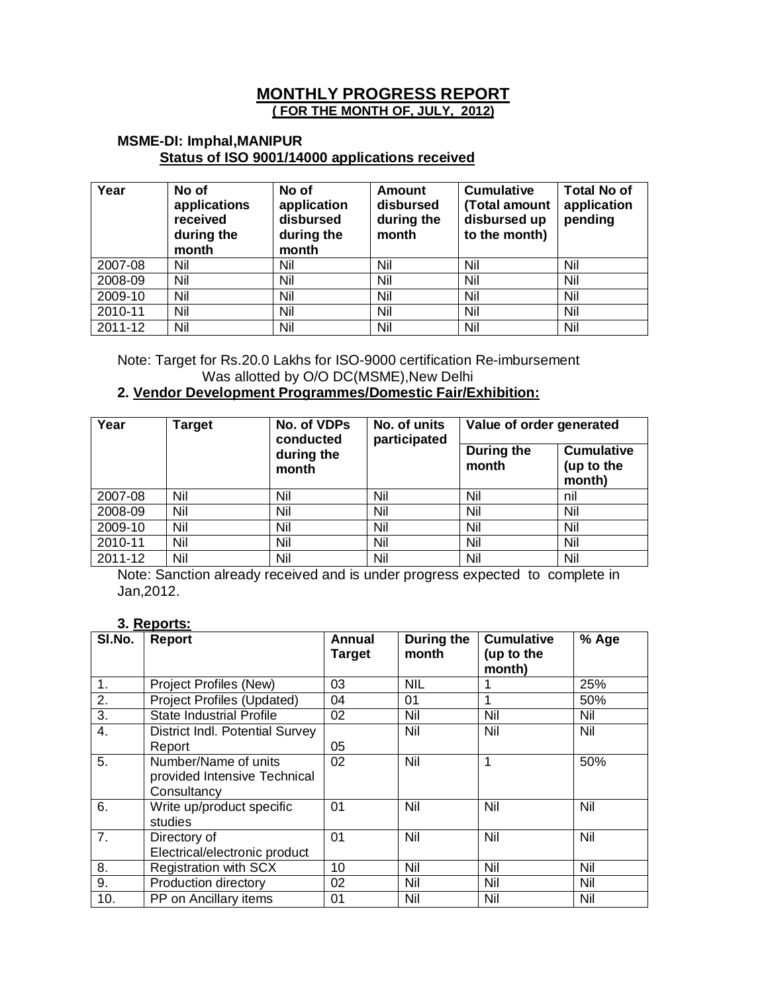### **MONTHLY PROGRESS REPORT ( FOR THE MONTH OF, JULY, 2012)**

#### **MSME-DI: Imphal,MANIPUR Status of ISO 9001/14000 applications received**

| Year    | No of<br>applications<br>received<br>during the<br>month | No of<br>application<br>disbursed<br>during the<br>month | Amount<br>disbursed<br>during the<br>month | <b>Cumulative</b><br>(Total amount<br>disbursed up<br>to the month) | <b>Total No of</b><br>application<br>pending |
|---------|----------------------------------------------------------|----------------------------------------------------------|--------------------------------------------|---------------------------------------------------------------------|----------------------------------------------|
| 2007-08 | Nil                                                      | Nil                                                      | Nil                                        | Nil                                                                 | Nil                                          |
| 2008-09 | Nil                                                      | Nil                                                      | Nil                                        | Nil                                                                 | Nil                                          |
| 2009-10 | Nil                                                      | Nil                                                      | Nil                                        | Nil                                                                 | Nil                                          |
| 2010-11 | Nil                                                      | Nil                                                      | Nil                                        | Nil                                                                 | Nil                                          |
| 2011-12 | Nil                                                      | Nil                                                      | Nil                                        | Nil                                                                 | Nil                                          |

Note: Target for Rs.20.0 Lakhs for ISO-9000 certification Re-imbursement Was allotted by O/O DC(MSME), New Delhi

# **2. Vendor Development Programmes/Domestic Fair/Exhibition:**

| Year    | <b>Target</b> | No. of VDPs<br>conducted | No. of units<br>participated | Value of order generated |                                           |  |
|---------|---------------|--------------------------|------------------------------|--------------------------|-------------------------------------------|--|
|         |               | during the<br>month      |                              | During the<br>month      | <b>Cumulative</b><br>(up to the<br>month) |  |
| 2007-08 | Nil           | Nil                      | Nil                          | Nil                      | nil                                       |  |
| 2008-09 | Nil           | Nil                      | Nil                          | Nil                      | Nil                                       |  |
| 2009-10 | Nil           | Nil                      | Nil                          | Nil                      | Nil                                       |  |
| 2010-11 | Nil           | Nil                      | Nil                          | Nil                      | Nil                                       |  |
| 2011-12 | Nil           | Nil                      | Nil                          | Nil                      | Nil                                       |  |

Note: Sanction already received and is under progress expected to complete in Jan,2012.

#### **3. Reports:**

| SI.No.           | <b>Report</b>                                                       | Annual<br><b>Target</b> | During the<br>month | <b>Cumulative</b><br>(up to the<br>month) | % Age |
|------------------|---------------------------------------------------------------------|-------------------------|---------------------|-------------------------------------------|-------|
| 1.               | Project Profiles (New)                                              | 03                      | <b>NIL</b>          |                                           | 25%   |
| 2.               | Project Profiles (Updated)                                          | 04                      | 01                  | 1                                         | 50%   |
| $\overline{3}$ . | <b>State Industrial Profile</b>                                     | 02                      | Nil                 | Nil                                       | Nil   |
| $\overline{4}$ . | District Indl. Potential Survey<br>Report                           | 05                      | Nil                 | Nil                                       | Nil   |
| 5.               | Number/Name of units<br>provided Intensive Technical<br>Consultancy | 02                      | Nil                 | 1                                         | 50%   |
| 6.               | Write up/product specific<br>studies                                | 01                      | Nil                 | Nil                                       | Nil   |
| 7.               | Directory of<br>Electrical/electronic product                       | 01                      | Nil                 | Nil                                       | Nil   |
| 8.               | <b>Registration with SCX</b>                                        | 10                      | Nil                 | Nil                                       | Nil   |
| 9.               | Production directory                                                | 02                      | Nil                 | Nil                                       | Nil   |
| 10.              | PP on Ancillary items                                               | 01                      | Nil                 | Nil                                       | Nil   |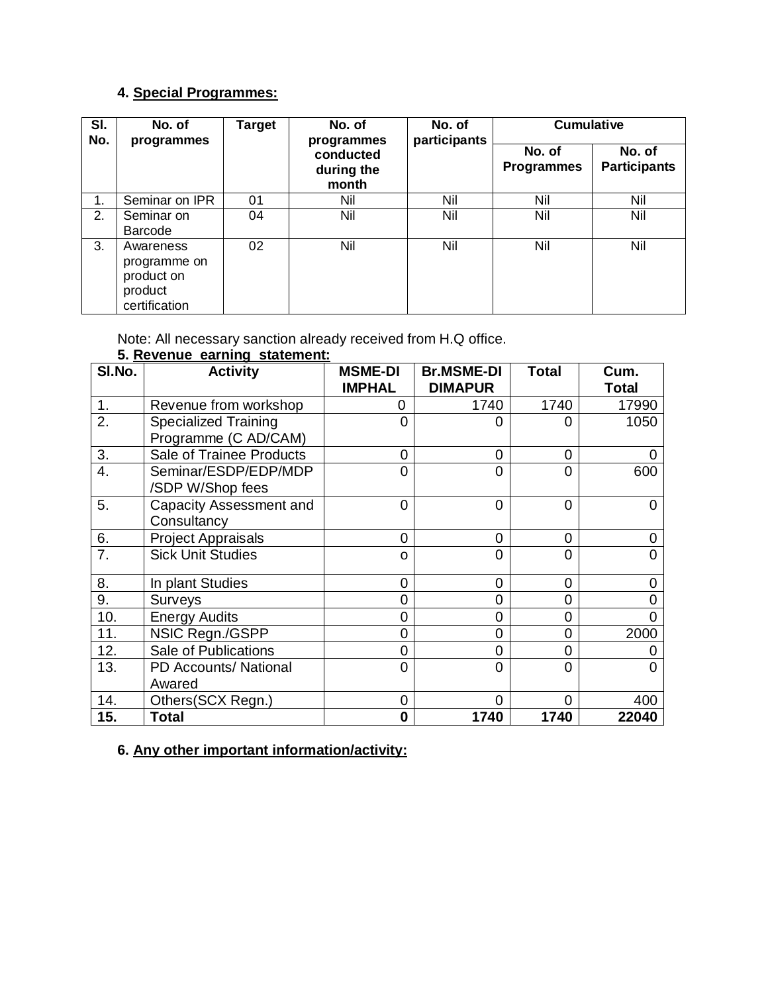# **4. Special Programmes:**

| SI.<br>No. | No. of<br>programmes                                                | <b>Target</b> | No. of<br>programmes             | No. of<br>participants | <b>Cumulative</b>           |                               |
|------------|---------------------------------------------------------------------|---------------|----------------------------------|------------------------|-----------------------------|-------------------------------|
|            |                                                                     |               | conducted<br>during the<br>month |                        | No. of<br><b>Programmes</b> | No. of<br><b>Participants</b> |
| 1.         | Seminar on IPR                                                      | 01            | Nil                              | Nil                    | Nil                         | Nil                           |
| 2.         | Seminar on<br>Barcode                                               | 04            | Nil                              | Nil                    | Nil                         | Nil                           |
| 3.         | Awareness<br>programme on<br>product on<br>product<br>certification | 02            | Nil                              | Nil                    | Nil                         | Nil                           |

Note: All necessary sanction already received from H.Q office.

### **5. Revenue earning statement:**

| SI.No. | <b>Activity</b>                | <b>MSME-DI</b> | <b>Br.MSME-DI</b> | <b>Total</b>   | Cum.         |
|--------|--------------------------------|----------------|-------------------|----------------|--------------|
|        |                                | <b>IMPHAL</b>  | <b>DIMAPUR</b>    |                | <b>Total</b> |
| 1.     | Revenue from workshop          | 0              | 1740              | 1740           | 17990        |
| 2.     | <b>Specialized Training</b>    | $\Omega$       | 0                 | 0              | 1050         |
|        | Programme (C AD/CAM)           |                |                   |                |              |
| 3.     | Sale of Trainee Products       | 0              | 0                 | 0              | 0            |
| 4.     | Seminar/ESDP/EDP/MDP           | 0              | 0                 | $\overline{0}$ | 600          |
|        | /SDP W/Shop fees               |                |                   |                |              |
| 5.     | <b>Capacity Assessment and</b> | $\overline{0}$ | $\Omega$          | $\overline{0}$ |              |
|        | Consultancy                    |                |                   |                |              |
| 6.     | <b>Project Appraisals</b>      | $\overline{0}$ | 0                 | 0              | 0            |
| 7.     | <b>Sick Unit Studies</b>       | 0              | 0                 | $\overline{0}$ | 0            |
| 8.     | In plant Studies               | 0              | 0                 | 0              | ი            |
| 9.     | Surveys                        | 0              | 0                 | 0              |              |
| 10.    | <b>Energy Audits</b>           | $\Omega$       | 0                 | 0              |              |
| 11.    | NSIC Regn./GSPP                | $\Omega$       | 0                 | $\overline{0}$ | 2000         |
| 12.    | Sale of Publications           | $\Omega$       | 0                 | $\overline{0}$ |              |
| 13.    | <b>PD Accounts/ National</b>   | $\Omega$       | 0                 | $\overline{0}$ |              |
|        | Awared                         |                |                   |                |              |
| 14.    | Others(SCX Regn.)              | $\mathbf 0$    | $\overline{0}$    | $\overline{0}$ | 400          |
| 15.    | <b>Total</b>                   | 0              | 1740              | 1740           | 22040        |

# **6. Any other important information/activity:**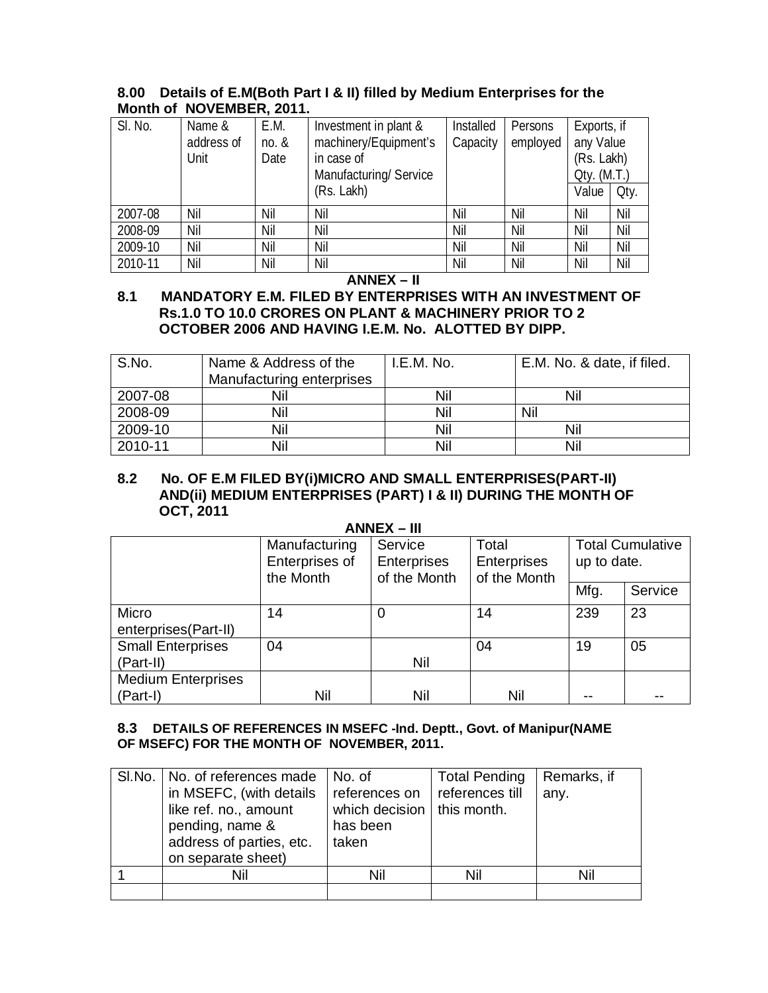| 8.00 Details of E.M(Both Part I & II) filled by Medium Enterprises for the |  |  |  |  |
|----------------------------------------------------------------------------|--|--|--|--|
| Month of NOVEMBER, 2011.                                                   |  |  |  |  |
|                                                                            |  |  |  |  |

| SI. No. | Name &     | E.M.       | Investment in plant & | Installed | Persons  | Exports, if |      |
|---------|------------|------------|-----------------------|-----------|----------|-------------|------|
|         | address of | $no.$ $\&$ | machinery/Equipment's | Capacity  | employed | any Value   |      |
|         | Unit       | Date       | in case of            |           |          | (Rs. Lakh)  |      |
|         |            |            | Manufacturing/Service |           |          | Qty. (M.T.) |      |
|         |            |            | (Rs. Lakh)            |           |          | Value       | Oty. |
| 2007-08 | Nil        | Nil        | Nil                   | Nil       | Nil      | Nil         | Nil  |
| 2008-09 | Nil        | Nil        | Nil                   | Nil       | Nil      | Nil         | Nil  |
| 2009-10 | Nil        | Nil        | Nil                   | Nil       | Nil      | Nil         | Nil  |
| 2010-11 | Nil        | Nil        | Nil                   | Nil       | Nil      | Nil         | Nil  |

#### **ANNEX – II**

#### **8.1 MANDATORY E.M. FILED BY ENTERPRISES WITH AN INVESTMENT OF Rs.1.0 TO 10.0 CRORES ON PLANT & MACHINERY PRIOR TO 2 OCTOBER 2006 AND HAVING I.E.M. No. ALOTTED BY DIPP.**

| S.No.   | Name & Address of the<br>Manufacturing enterprises | I.E.M. No. | E.M. No. & date, if filed. |
|---------|----------------------------------------------------|------------|----------------------------|
| 2007-08 |                                                    | Nil        | Nil                        |
| 2008-09 | Nil                                                | Nil        | Nil                        |
| 2009-10 | Nil                                                | Nil        | Nil                        |
| 2010-11 | Nil                                                | Nil        | Nil                        |

#### **8.2 No. OF E.M FILED BY(i)MICRO AND SMALL ENTERPRISES(PART-II) AND(ii) MEDIUM ENTERPRISES (PART) I & II) DURING THE MONTH OF OCT, 2011 ANNEX – III**

| $ANNEX - III$             |                             |                                    |                                    |             |                         |  |
|---------------------------|-----------------------------|------------------------------------|------------------------------------|-------------|-------------------------|--|
|                           | Manufacturing               | Service                            | Total                              |             | <b>Total Cumulative</b> |  |
|                           | Enterprises of<br>the Month | <b>Enterprises</b><br>of the Month | <b>Enterprises</b><br>of the Month | up to date. |                         |  |
|                           |                             |                                    |                                    | Mfg.        | Service                 |  |
| Micro                     | 14                          | 0                                  | 14                                 | 239         | 23                      |  |
| enterprises(Part-II)      |                             |                                    |                                    |             |                         |  |
| <b>Small Enterprises</b>  | 04                          |                                    | 04                                 | 19          | 05                      |  |
| (Part-II)                 |                             | Nil                                |                                    |             |                         |  |
| <b>Medium Enterprises</b> |                             |                                    |                                    |             |                         |  |
| (Part-I)                  | Nil                         | Nil                                | Nil                                |             |                         |  |

#### **8.3 DETAILS OF REFERENCES IN MSEFC -Ind. Deptt., Govt. of Manipur(NAME OF MSEFC) FOR THE MONTH OF NOVEMBER, 2011.**

| SI.No.   No. of references made<br>in MSEFC, (with details<br>like ref. no., amount<br>pending, name &<br>address of parties, etc.<br>on separate sheet) | No. of<br>references on<br>which decision $\vert$ this month.<br>has been<br>taken | <b>Total Pending</b><br>references till | Remarks, if<br>any. |
|----------------------------------------------------------------------------------------------------------------------------------------------------------|------------------------------------------------------------------------------------|-----------------------------------------|---------------------|
| Nil                                                                                                                                                      | Nil                                                                                | Nil                                     | Nil                 |
|                                                                                                                                                          |                                                                                    |                                         |                     |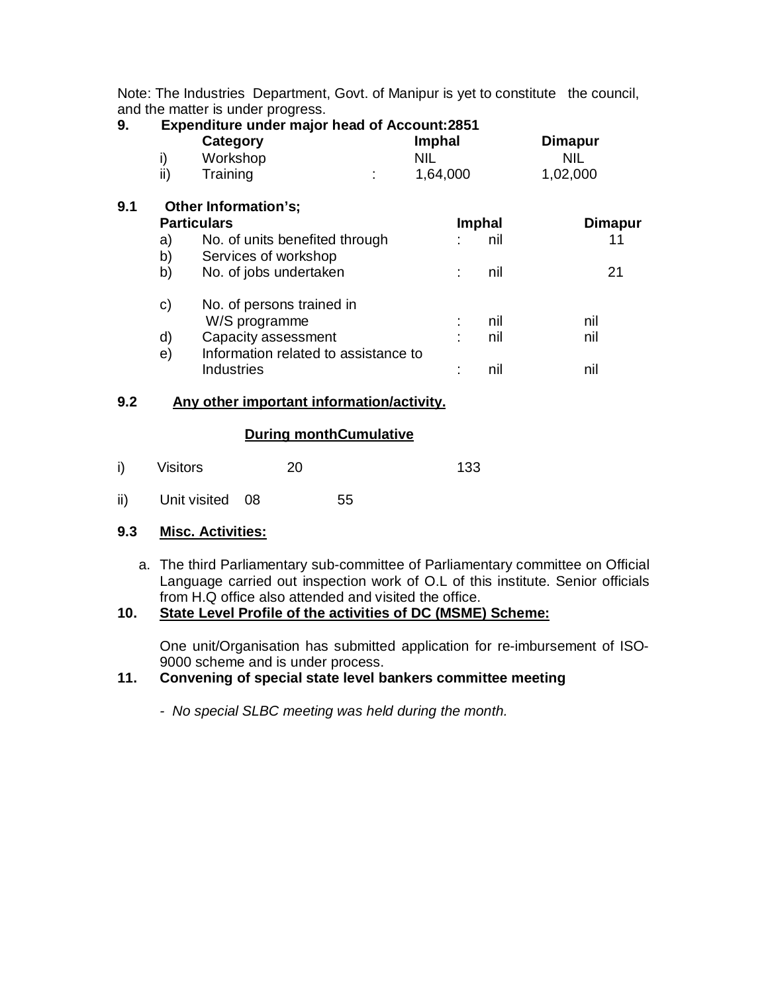Note: The Industries Department, Govt. of Manipur is yet to constitute the council, and the matter is under progress.

| 9.  |     | <b>Expenditure under major head of Account:2851</b><br>Category | <b>Imphal</b> |        | <b>Dimapur</b> |
|-----|-----|-----------------------------------------------------------------|---------------|--------|----------------|
|     | i)  | Workshop                                                        | NIL.          |        | <b>NIL</b>     |
|     | ii) | Training                                                        | 1,64,000      |        | 1,02,000       |
| 9.1 |     | Other Information's:                                            |               |        |                |
|     |     | <b>Particulars</b>                                              |               | Imphal | <b>Dimapur</b> |
|     | a)  | No. of units benefited through                                  |               | nil    | 11             |
|     | b)  | Services of workshop                                            |               |        |                |
|     | b)  | No. of jobs undertaken                                          |               | nil    | 21             |
|     | C)  | No. of persons trained in                                       |               |        |                |
|     |     | W/S programme                                                   |               | nil    | nil            |
|     | d)  | Capacity assessment                                             |               | nil    | nil            |
|     | e)  | Information related to assistance to                            |               |        |                |
|     |     | <b>Industries</b>                                               |               | nil    | nil            |
|     |     |                                                                 |               |        |                |

#### **9.2 Any other important information/activity.**

#### **During monthCumulative**

- i) Visitors 20 133
- ii) Unit visited 08 55

#### **9.3 Misc. Activities:**

a. The third Parliamentary sub-committee of Parliamentary committee on Official Language carried out inspection work of O.L of this institute. Senior officials from H.Q office also attended and visited the office.

#### **10. State Level Profile of the activities of DC (MSME) Scheme:**

One unit/Organisation has submitted application for re-imbursement of ISO-9000 scheme and is under process.

## **11. Convening of special state level bankers committee meeting**

*- No special SLBC meeting was held during the month.*